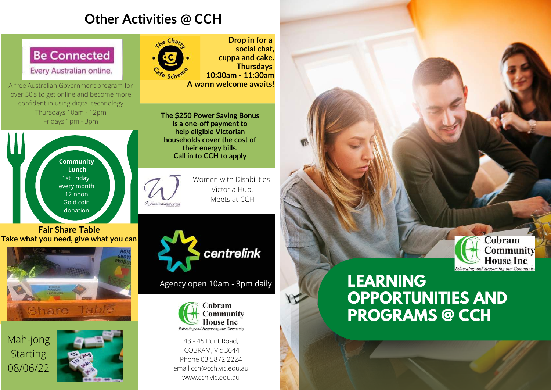# **Other Activities @ CCH**



Every Australian online.

A free Australian Government program for over 50's to get online and become more confident in using digital technology Thursdays 10am - 12pm Fridays 1pm - 3pm



#### **Fair Share Table Take what you need, give what you can**



Mah-jong **Starting** 08/06/22





**Drop in for a social chat, cuppa and cake. Thursdays 10:30am - 11:30am A warm welcome awaits!**

**The \$250 Power Saving Bonus is a one-off payment to help eligible Victorian households cover the cost of their energy bills. Call in to CCH to apply**

> Women with Disabilities Victoria Hub. Meets at CCH



Agency open 10am - 3pm daily



43 - 45 Punt Road, COBRAM, Vic 3644 Phone 03 5872 2224 email cch@cch.vic.edu.au www.cch.vic.edu.au

# **LEARNING OPPORTUNITIES AND PROGRAMS @ CCH**

Cobram

**Community House Inc Educating and Supporting our Community**